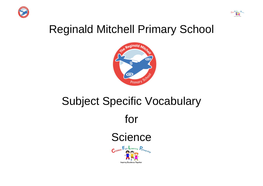



## Reginald Mitchell Primary School



# Subject Specific Vocabulary for **Science** Children First Learning Partnership Inspiring Excellence Toget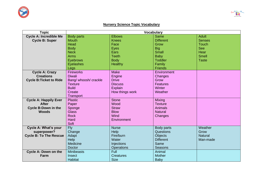

#### $-\frac{F_{\text{max}}}{R_{\text{max}}^2}$  $\epsilon$

### **Nursery Science Topic Vocabulary**

| <b>Topic</b>                   | <b>Vocabulary</b>     |                   |                  |                |
|--------------------------------|-----------------------|-------------------|------------------|----------------|
| <b>Cycle A: Incredible Me</b>  | <b>Body parts</b>     | <b>Elbows</b>     | Same             | <b>Adult</b>   |
| <b>Cycle B: Super</b>          | <b>Mouth</b>          | <b>Knees</b>      | <b>Different</b> | <b>Senses</b>  |
|                                | Head                  | Face              | Grow             | Touch          |
|                                | <b>Body</b>           | Eyes              | <b>Big</b>       | <b>See</b>     |
|                                | <b>Neck</b>           | Ears              | <b>Small</b>     | Hear           |
|                                | <b>Arms</b>           | <b>Teeth</b>      | Baby             | <b>Smell</b>   |
|                                | Eyebrows              | <b>Body</b>       | <b>Toddler</b>   | <b>Taste</b>   |
|                                | Eyelashes             | Healthy           | Family           |                |
|                                | Legs                  |                   | <b>Friends</b>   |                |
| <b>Cycle A: Crazy</b>          | Fireworks             | <b>Make</b>       | Environment      |                |
| <b>Creations</b>               | <b>Diwali</b>         | Engine            | Changes          |                |
| <b>Cycle B: Ticket to Ride</b> | Bang/ whoosh/ crackle | <b>Drive</b>      | Grow             |                |
|                                | <b>Texture</b>        | <b>Discuss</b>    | Features         |                |
|                                | <b>Build</b>          | <b>Explain</b>    | Winter           |                |
|                                | Create                | How things work   | Weather          |                |
|                                | Transport             |                   |                  |                |
| <b>Cycle A: Happily Ever</b>   | <b>Plastic</b>        | <b>Stone</b>      | Mixing           |                |
| <b>After</b>                   | Paper                 | Wood              | <b>Texture</b>   |                |
| <b>Cycle B: Down in the</b>    | Sponge                | <b>Straw</b>      | Animals          |                |
| <b>Woods</b>                   | <b>Glass</b>          | <b>Blow</b>       | <b>Natural</b>   |                |
|                                | <b>Rock</b>           | Wind              | Changes          |                |
|                                | Hard                  | Environment       |                  |                |
|                                | Soft                  |                   |                  |                |
| <b>Cycle A: What's your</b>    | <b>Fly</b>            | <b>Nurse</b>      | Body parts       | Weather        |
| superpower?                    | Change                | Help              | Questions        | Grow           |
| <b>Cycle B: To The Rescue</b>  | Adapt                 | Fire/burn         | <b>Objects</b>   | <b>Natural</b> |
|                                | Help                  | Water             | <b>Different</b> | Man-made       |
|                                | Medicine              | <b>Injections</b> | Same             |                |
|                                | <b>Doctor</b>         | <b>Operations</b> | Seasons          |                |
| <b>Cycle A: Down on the</b>    | <b>Minibeasts</b>     | Full              | Animal           |                |
| Farm                           | Insect                | <b>Creatures</b>  | Mother           |                |
|                                | <b>Habitat</b>        | <b>Size</b>       | <b>Baby</b>      |                |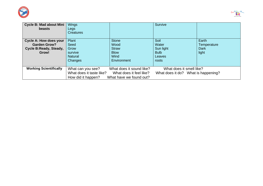



| <b>Cycle B: Mad about Mini</b><br><b>beasts</b> | Wings<br>Legs<br>Creatures |                          | Survive                             |             |
|-------------------------------------------------|----------------------------|--------------------------|-------------------------------------|-------------|
| <b>Cycle A: How does your</b>                   | Plant                      | <b>Stone</b>             | Soil                                | Earth       |
| <b>Garden Grow?</b>                             | Seed                       | Wood                     | Water                               | Temperature |
| Cycle B: Ready, Steady,                         | Grow                       | <b>Straw</b>             | Sun light                           | Dark        |
| Grow!                                           | survive                    | <b>Blow</b>              | <b>Bulb</b>                         | light       |
|                                                 | <b>Natural</b>             | Wind                     | Leaves                              |             |
|                                                 | <b>Changes</b>             | Environment              | roots                               |             |
| <b>Working Scientifically</b>                   | What can you see?          | What does it sound like? | What does it smell like?            |             |
|                                                 | What does it taste like?   | What does it feel like?  | What does it do? What is happening? |             |
|                                                 | How did it happen?         | What have we found out?  |                                     |             |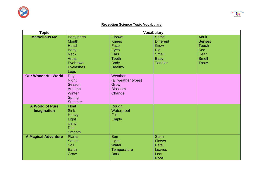



### **Reception Science Topic Vocabulary**

| <b>Topic</b>                                 | <b>Vocabulary</b>                                                                                                                     |                                                                                                        |                                                                                                        |                                                                                                     |
|----------------------------------------------|---------------------------------------------------------------------------------------------------------------------------------------|--------------------------------------------------------------------------------------------------------|--------------------------------------------------------------------------------------------------------|-----------------------------------------------------------------------------------------------------|
| <b>Marvellous Me</b>                         | <b>Body parts</b><br><b>Mouth</b><br>Head<br><b>Body</b><br><b>Neck</b><br><b>Arms</b><br><b>Eyebrows</b><br><b>Eyelashes</b><br>Legs | <b>Elbows</b><br><b>Knees</b><br>Face<br>Eyes<br>Ears<br><b>Teeth</b><br><b>Body</b><br><b>Healthy</b> | <b>Same</b><br><b>Different</b><br>Grow<br><b>Big</b><br><b>Small</b><br><b>Baby</b><br><b>Toddler</b> | <b>Adult</b><br><b>Senses</b><br><b>Touch</b><br><b>See</b><br>Hear<br><b>Smell</b><br><b>Taste</b> |
| <b>Our Wonderful World</b>                   | Day<br><b>Night</b><br>Season<br>Autumn<br>Winter<br><b>Spring</b><br><b>Summer</b>                                                   | Weather<br>(all weather types)<br>Grow<br><b>Blossom</b><br>Change                                     |                                                                                                        |                                                                                                     |
| <b>A World of Pure</b><br><b>Imagination</b> | <b>Float</b><br><b>Sink</b><br>Heavy<br>Light<br>shiny<br><b>Dull</b><br><b>Smooth</b>                                                | Rough<br>Waterproof<br>Full<br><b>Empty</b>                                                            |                                                                                                        |                                                                                                     |
| <b>A Magical Adventure</b>                   | <b>Plants</b><br><b>Seeds</b><br>Soil<br>Earth<br>Grow                                                                                | Sun<br>Light<br>Water<br>Temperature<br><b>Dark</b>                                                    | <b>Stem</b><br><b>Flower</b><br>Petal<br>Leaves<br>Leaf<br>Root                                        |                                                                                                     |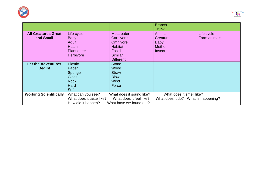



|                               |                          |                          | <b>Branch</b>                       |                     |
|-------------------------------|--------------------------|--------------------------|-------------------------------------|---------------------|
|                               |                          |                          | <b>Trunk</b>                        |                     |
| <b>All Creatures Great</b>    | Life cycle               | Meat eater               | Animal                              | Life cycle          |
| and Small                     | <b>Baby</b>              | Carnivore                | Creature                            | <b>Farm animals</b> |
|                               | <b>Adult</b>             | Omnivore                 | <b>Baby</b>                         |                     |
|                               | <b>Hatch</b>             | <b>Habitat</b>           | <b>Mother</b>                       |                     |
|                               | Plant eater              | <b>Fossil</b>            | Insect                              |                     |
|                               | Herbivore                | <b>Similar</b>           |                                     |                     |
|                               |                          | <b>Different</b>         |                                     |                     |
| Let the Adventures            | <b>Plastic</b>           | <b>Stone</b>             |                                     |                     |
| <b>Begin!</b>                 | Paper                    | Wood                     |                                     |                     |
|                               | Sponge                   | <b>Straw</b>             |                                     |                     |
|                               | <b>Glass</b>             | <b>Blow</b>              |                                     |                     |
|                               | <b>Rock</b>              | <b>Wind</b>              |                                     |                     |
|                               | Hard                     | Force                    |                                     |                     |
|                               | Soft                     |                          |                                     |                     |
| <b>Working Scientifically</b> | What can you see?        | What does it sound like? | What does it smell like?            |                     |
|                               | What does it taste like? | What does it feel like?  | What does it do? What is happening? |                     |
|                               | How did it happen?       | What have we found out?  |                                     |                     |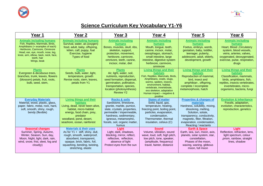



### **Science Curriculum Key Vocabulary Y1-Y6**

| Year 1                                                                                                                                                                                                                                            | Year 2                                                                                                                                                                                                                                       | Year 3                                                                                                                                                                                                                                  | Year 4                                                                                                                                                                                                                                                      | Year 5                                                                                                                                                                                                                                              | Year 6                                                                                                                                                                                        |
|---------------------------------------------------------------------------------------------------------------------------------------------------------------------------------------------------------------------------------------------------|----------------------------------------------------------------------------------------------------------------------------------------------------------------------------------------------------------------------------------------------|-----------------------------------------------------------------------------------------------------------------------------------------------------------------------------------------------------------------------------------------|-------------------------------------------------------------------------------------------------------------------------------------------------------------------------------------------------------------------------------------------------------------|-----------------------------------------------------------------------------------------------------------------------------------------------------------------------------------------------------------------------------------------------------|-----------------------------------------------------------------------------------------------------------------------------------------------------------------------------------------------|
| <b>Animals including humans</b><br>Fish, Reptiles, Mammals, Birds,<br>Amphibians (+ examples of each)<br>Herbivore, Carnivore, Omnivore<br>Head, ear, eye, mouth, nose, leg,<br>knee, arm, elbow, back, neck, face,<br>teeth, hair<br>Wings, beak | <b>Animals including humans</b><br>Survival, water, air, (oxygen)<br>food, adult, baby, offspring,<br>kitten, calf, puppy, foal<br>Exercise, hygiene<br>Types of food                                                                        | <b>Animals including</b><br>humans<br>Bones, muscles, skull, ribs,<br>skeleton, support,<br>protection, movement,<br>herbivore, carnivore,<br>omnivore, teeth, canine,<br>incisor, molar, diet                                          | <b>Animals including</b><br><b>humans</b><br>Mouth, tongue, teeth,<br>canine, incisor, molar,<br>oesophagus, stomach,<br>small intestine, large<br>intestine, digestive system<br>herbivore, carnivore,<br>omnivore                                         | <b>Animals including</b><br>humans<br>Foetus, embryo, womb,<br>gestation, baby, toddler,<br>teenager, puberty,<br>adolescent, adult, elderly,<br>development, growth                                                                                | <b>Animals including</b><br>humans<br>Heart, Blood , Circulatory<br>system, blood vessels,<br>veins, arteries, valves,<br>oxygenated, deoxygenated,<br>exercise, pulse, respiration,<br>drugs |
| <b>Plants</b><br>Evergreen & deciduous trees,<br>branches, trunk, leaves, flowers<br>(blossom) petals, fruit, roots,<br>bulb, seed, stem,                                                                                                         | <b>Plants</b><br>Seeds, bulb, water, light,<br>temperature, growth<br>Revise roots, stem, leaves,<br>petals from Y1                                                                                                                          | <b>Plants</b><br>Air, light, water, soil,<br>nutrients, reproduction,<br>seed formation, dispersal,<br>germination, pollination,<br>transportation, species,<br>location (photosynthesis)<br><b>Review Y2</b>                           | Living things and their<br>habitats<br>Fish, Reptiles, Mammals, Birds,<br>Amphibians, snails, slugs,<br>worms, spiders, insects,<br>environment, habitat,<br>vertebrate, invertebrate,<br>exo skeleton, adaptation<br>Human impact – negative &<br>positive | Living things and their<br>habitats<br>Reproduction of mammal,<br>bird, insect and<br>amphibian, offspring,<br>complete / incomplete<br>metamorphosis, hatch                                                                                        | <b>Living things and their</b><br>habitats<br>Classification, mammals.<br>birds, amphibians, fish,<br>reptiles, insects vertebrates,<br>invertebrates, micro-<br>organisms, bacteria, fungi   |
| <b>Everyday Materials</b><br>Material, wood, plastic, glass,<br>paper, fabric, metal, rock, hard,<br>soft, smooth, shiny, rough,<br>bendy (flexible)                                                                                              | <b>Living things and their</b><br>habitats<br>Living, dead, never been alive,<br>habitat, micro-habitat<br>energy, food chain, prey,<br>predator<br>woodland, pond, desert,<br>seashore, ocean, rainforest                                   | <b>Rocks &amp; soils</b><br>Sandstone, limestone,<br>granite, marble, pumice,<br>slate, crystals, properties,<br>permeable / impermeable,<br>hardness, sedimentary,<br>igneous, metamorphic,<br>fossils, soil, organic matter,<br>humus | <b>States of matter</b><br>Solid, liquid, gas,<br>temperature, heating,<br>freezing point, boiling point,<br>particles, evaporation,<br>condensation,<br>Thermometer, thermal<br>insulation, celsius (C)                                                    | <b>Properties &amp; changes of</b><br>materials<br>Hardness, solubility, mixing,<br>dissolving, melting,<br>Solution, solute,<br>transparency, conductivity,<br>magnetic, filter, filtration,<br>evaporation, condensation,<br>Reacting / reactants | <b>Evolution &amp; Inheritance</b><br>Fossils, adaptation,<br>evolution, characteristics,<br>reproduction, genetics                                                                           |
| <b>Seasonal changes</b><br>Summer, Spring, Autumn,<br>Winter, Season, Sun, day,<br>Moon, Night, light, dark, rain,<br>wind, snow, frist, sleet, fog and<br>cloud(y)                                                                               | <b>Materials &amp; their uses</b><br>As for $Y1 + \text{stiff}, \text{shiny}, \text{dull},$<br>rough, smooth, waterproof,<br>absorbent, transparent,<br>opaque, brick, fabric, foil,<br>squashing, bending, twisting,<br>stretching, elastic | Liaht<br>Light, dark, shadows,<br>blocking, mirror, reflect,<br>reflective, reflection,<br>absence of light<br>Protect eyes from the sun                                                                                                | <b>Sound</b><br>Volume, vibration, sound<br>wave, loud, soft, high pitch,<br>low pitch, tone, speaker,<br>(amplitude, frequency)<br>travel, fainter, distance                                                                                               | <b>Earth &amp; Space</b><br>Earth, sea, sun, moon, axis,<br>planets, solar system, star,<br>constellation.<br>Phases of the moon,<br>waxing, waning, gibbous<br>moon, full moon                                                                     | Liaht<br>Reflection, refraction, lens,<br>light spectrum, colour<br>,prism, rainbow, straight<br>lines, shadow                                                                                |